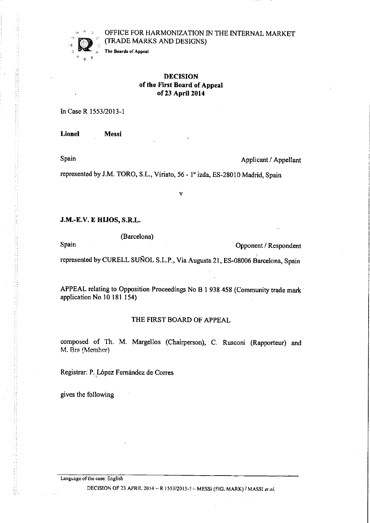## OFFICE FOR HARMONIZATION IN THE INTERNAL MARKET (TRADE MARKS AND DESIGNS)

The Boards of Appeal

## DECISION of the First Board of Appeal of 23 April 2014

In Case R1553/2013-1

Lionel Messi

Spain Applicant / Appellant

represented by J.M. TORO, S.L., Viriato, 56 - 1º izda, ES-28010 Madrid, Spain

J.M.-E.V. E HUOS, S.R.L.

(Barcelona) Spain Opponent / Respondent represented by CURELL SUÑOL S.L.P., Via Augusta 21, ES-08006 Barcelona, Spain

v

APPEAL relating to Opposition Proceedings No B 1 938 458 (Community trade mark application No 10181 154)

### THE FIRST BOARD OF APPEAL

composed of Th. M. Margellos (Chairperson), C. Rusconi (Rapporteur) and M. Bra (Member)

Registrar: P. Lôpez Fernàndez de Corres

gives the following

Language of the case: Eng1ish

DECISION OF 23 APRIL 2014 - R 1553/2013-1 - MESSi (FIG. MARK)  $\ell$  MASSI et al.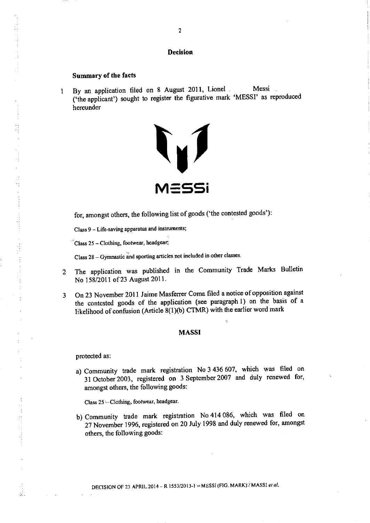### **Decision**

### Summary of the facts

 $\frac{1}{\sqrt{2}}$ 

 $\frac{1}{2}$ 

44 年4月

 $\ddot{\phantom{a}}$ άĎ, 1 By an application filed on 8 August 2011, Lionel Messi -('the applicant') sought to register the figurative mark 'MESSI' as reproduced hereunder



for, amongst others, the following list of goods ('the contested goods'):

Class 9 - Life-saving apparatus and instruments;

Class  $25 -$ Clothing, footwear, headgear;

Class 28 - Gymnastic and sporting articles not included in other classes.

- <sup>2</sup> The application was published in the Community Trade Marks Bulletin No 158/2011 of 23 August 2011.
- <sup>3</sup> 0n <sup>23</sup> November <sup>2011</sup> Jaime Masferrer Coma filed <sup>a</sup> notice of opposition against the contested goods of the application (see paragraph 1) on the basis of a likelihood of confusion (Article 8(1)(b) CTMR) with the earlier word mark

### MASSI

protected as:

a) Community trade mark registration No <sup>3</sup> <sup>436</sup> 607, which was filed on <sup>31</sup> 0ctober 2003, registered on <sup>3</sup> September <sup>2007</sup> and duly renewed for, amongst others, the following goods:

Class 25 - Clothing, footwear, headgear.

b) Community trade mark registration No <sup>414</sup> 086, which was filed on <sup>27</sup> November 1996, registered on <sup>20</sup> July <sup>1998</sup> and duly renewed for, amongst others, the following goods: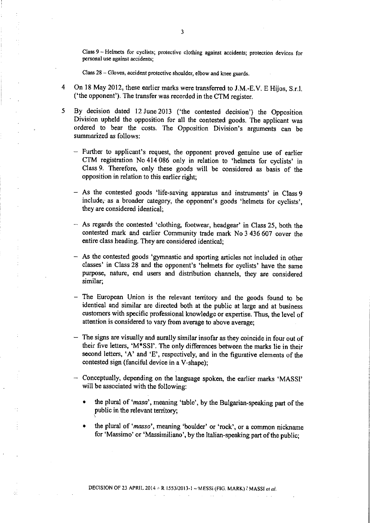Class 9 - Helmets for cyclists; protective clothing against accidents; protection devices for personal use against accidents;

Class 28 - Gloves, accident protective shoulder, elbow and knee guards.

- 4 0n 18 May 2012, these earlier marks were transferred to J.M.-E.V. E Hijos, S.r.l. ('the opponent'). The transfer was recorded in the CTM register.
- 5 By decision dated 12June2013 ('the contested decision') the Opposition Division upheld the opposition for all the contested goods. The applicant was ordered to bear the costs. The Opposition Division's arguments can be summarized as follows:
	- Further to applicant's request, the opponent proved genuine use of earlier CTM registration No 414 086 only in relation to 'helmets for cyclists' in Class 9. Therefore, only these goods will be considered as basis of the opposition in relation to this earlier right;
	- As the contested goods 'life-saving apparatus and instruments' in Class 9 include, as a broader category, the opponent's goods 'helmets for cydists', they are considered identical;
	- As regards the contested 'clothing, footwear, headgear' in Class 25, both the contested mark and earlier Community trade mark No 3 436 607 cover the entire class heading. They are considered identical;
	- As the contested goods 'gymnastic and sporting articles not included in other classes' in Class 28 and the opponent's 'helmets for cyclists' have the same purpose, nature, end users and distribution channels, they are considered similar;
	- The European Union is the relevant territory and the goods found to be identical and similar are directed both at the public at large and at business customers with specific professional knowledge or expertise. Thus, the level of attention is considered to vary from average to above average;
	- The signs are visually and aurally similar insofar as they coincide in four out of their five letters, 'M\*SSI'. The only differences between the marks lie in their second letters, 'A' and 'E', respectively, and in the figurative elements of the contested sign (fanciful device in a V-shape);
	- Conceptually, depending on the language spoken, the earlier marks 'MASSI' will be associated with the following:
		- the plural of 'masa', meaning 'table', by the Bulgarian-speaking part of the public in the relevant territory;
		- the plural of 'masso', meaning 'boulder' or 'rock', or a common nickname for 'Massimo' or 'Massimiliano', by the Italian-speaking part of the public;

DECISION OF 23 APRIL 2014  $\div$  R 1553 $i$ 2013-1  $\div$ MESSi (FIG. MARK)  $i$  MASSI et al.

άÎ,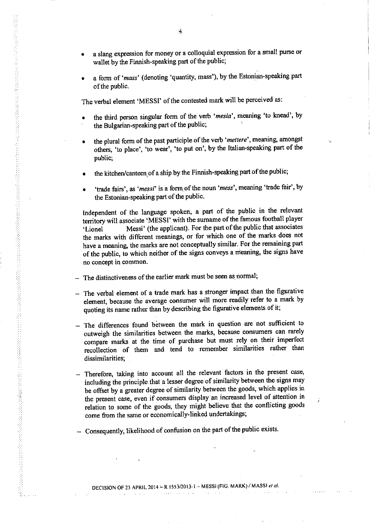- a slang expression for money or a colloquial expression for a small purse or wallet by the Finnish-speaking part of the public;
- a form of 'mass' (denoting 'quantity, mass'), by the Estonian-speaking part of the public.

The verbal element 'MESSI' of the contested mark will be perceived as:

- the third person singular form of the verb 'mesia', meaning 'to knead', by the Bulgarian-speaking part of the public;
- the plural form of the past participle of the verb 'mettere', meaning, amongst others, 'to place', 'to wear', 'to put on', by the Italian-speaking part of the public;
- the kitchen/canteen of a ship by the Finnish-speaking part of the public;
- 'trade fairs', as 'messi' is a form of the noun 'mess', meaning 'trade fair', by the Estonian-speaking part of the public.

Independent of the language spoken, <sup>a</sup> part of the public in the relevant territory will associate 'MESSI' with the surname of the famous football player 'Lionel Messi' (the applicant). For the part of the public that associates the marks with different meanings, or for which one of the marks does not have <sup>a</sup> meaning, the marks are not conceptually similar. For the remaining part of the public, to which neither of the signs conveys <sup>a</sup> m'eaning, the signs have no concept in common.

The distinctiveness of the earlier mark must be seen as normal;

- $-$  The verbal element of a trade mark has a stronger impact than the figurative element, because the average consumer will more readily refer to <sup>a</sup> mark by quoting its name rather than by describing the figurative elements of it;
- The differences found between the mark in question are not sufficient to outweigh the similarities between the marks, because consumers can rarely compare marks at the time of purchase but must rely on their imperfect recollection of them and tend to remember similarities rather than dissimilarities;
- Therefore, taking into account all the relevant factors in the present case, including the principle that <sup>a</sup> lesser degree of similarity between the signs may be offset by <sup>a</sup> greater degree of similarity between the goods, which applies in the present case, even if consumers display an increased level of attention in relation to some of the goods, they might believe that the conflicting goods come from the same or economically-linked undertakings;
- Consequently, likelihood of confusion on the part of the public exists.

 $\sim$   $\sim$ 

 $\Delta \sim 10^{11}$  , where  $\Delta \sim 10^{11}$ 

 $\omega$  ,  $\omega$  ,  $\omega$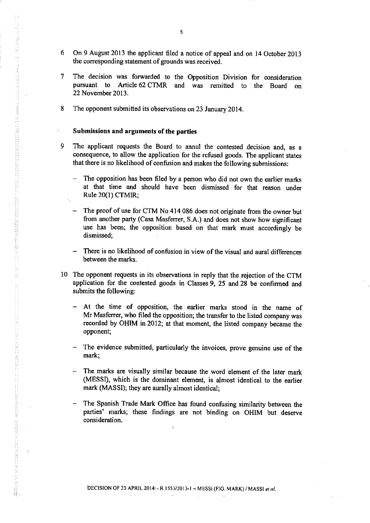- 6 0n 9 August 2013 the applicant filed a notice of appeal and on 14 0ctober 2013 the corresponding statement of grounds was received.
- 7 The decision was forwarded to the Opposition Division for consideration pursuant to Article 62 CTMR and was remitted to the Board on 22 November 2013.
- 8 The opponent submitted its observations on 23 January 2014.

## Submissions and arguments of the parties

- 9 The applicant requests the Board to annul the contested decision and, as a consequence, to allow the application for the refused goods. The applicant states that there is no likelihood of confusion and makes the following submissions:
	- The opposition has been filed by a person who did not own the earlier marks at that time and should have been dismissed for that reason under Rule 20(1) CTMIR;
	- The proof of use for CTM No 414 086 does not originate from the owner but from another party (Casa Masferrer, S.A.) and does not show how significant use has been; the opposition based on that mark must accordingly be dismissed;
	- There is no likelihood of confusion in view of the visual and aural differences between the marks.
- IO The opponent requests in its observations in reply that the rejection of the CTM application for the contested goods in Classes 9, 25 and 28 be confirmed and submits the following:
	- At the time of opposition, the earlier marks stood in the name of Mr Masferrer, who fiîed the opposition; the transfer to the listed company was recorded by OHIM in 2012; at that moment, the listed company became the opponent;
	- The evidence submitted, particularly the invoices, prove genuine use of the mark;
	- The marks are visually similar because the word element of the later mark (MESSI), which is the dominant element, is almost identical to the earlier mark (MASSI); they are aurally almost identical;
	- The Spanish Trade Mark Office has found confusing similarity between the parties' marks; these findings are not binding on OHIM but deserve consideration.

 $\ddot{\phantom{a}}$ 

 $\sim$   $\sim$ 

 $\mathcal{L}^{\text{max}}$ 

 $\sim 10$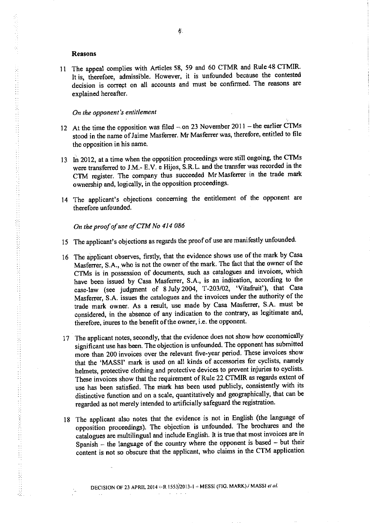#### Reasons

۰,

Ä.

11 The appeal complies with Articles 58, 59 and 60 CTMR and Rule 48 CTM. It is, therefore, admissible. However, it is unfounded because the contest decision is correct on all accounts and must be confirmed. The reasons are explained hereafter.

## On the opponent's entitlement

- 12 At the time the opposition was filed  $-$  on 23 November 2011 the earlier CTMs stood in the name of Jaime Masferrer. Mr Masferrer was, therefore, entitled to file the opposition in his name.
- <sup>13</sup> In 2012, at <sup>a</sup> time when the opposition proceedings were still ongoing, the CTMs were transferred to J.M.- E.V. <sup>e</sup> Hijos, S.R.L. and the transfer was recorded in the CTM register. The company thus succeeded Mr Masferrer in the trade mark ownership and, logically, in the opposition proceedings.
- 14 The applicant's objections concerning the entitlement of the opponent are therefore unfounded.

On the proof of use of CTM No 414 086

- 15 The applicant's objections as regards the proof of use are manifestly unfounded.
- <sup>16</sup> The applicant observes, firstly, that the evidence shows use of the mark by Casa Masferrer, S.A., who is not the owner of the mark. The fact that the owner of the CTMs is in possession of documents, such as catalogues and invoices, which have been issued by Casa Masferrer, S.A., is an indication, according to the case-law (see judgment of 8Ju1y2004, T-203/02, 'Vitafruit'), that Casa Masferrer, S.A. issues the catalogues and the invoices under the authority of the trade mark owner. As <sup>a</sup> result, use made by Casa Masferrer, S.A. must be considered, in the absence of any indication to the contrary, as legitimate and, therefore, inures to the benefit of the owner, i.e. the opponent.
- 17 The applicant notes, secondly, that the evidence does not show how economically significant use has been. The objection is unfounded. The opponent has submitted more than <sup>200</sup> invoices over the relevant five-year period. These invoices show that the 'MASSI' mark is used on all kinds of accessories for cyclists, namely helmets, protective clothing and protective devices to prevent injuries to cyclists. These invoices show that the requirement of Rule <sup>22</sup> CTMIR as regards extent of use has been satisfied. The mark has been used publicly, consistently with its distinctive function and on <sup>a</sup> scale, quantitatively and geographically, that can be regarded as not merely intended to artificially safeguard the registration.
- <sup>18</sup> The applicant also notes that the evidence is not in English (the language of opposition proceedings). The objection is unfounded. The brochures and the catalogues are multilingual and include English. It is true that most invoices are in Spanish - the language of the country where the opponent is based - but their content is not so obscure that the applicant, who claims in the CTM application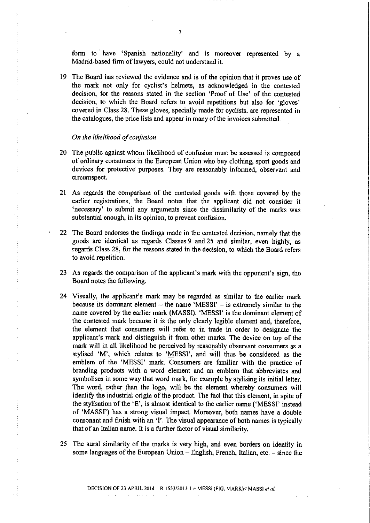form to have 'Spanish nationality' and is moreover represented by a Madrid-based firm of lawyers, could not understand it.

19 The Board has reviewed the evidence and is of the opinion that it proves use of the mark not only for cyclist's helmets, as acknowledged in the contested decision, for the reasons stated in the section 'Proof of Use' of the contested decision, to which the Board refers to avoid repetitions but also for 'gloves' covered in Class 28. These gloves, specially made for cyclists, are represented in the catalogues, the price lists and appear in many of the invoices submitted.

#### On the likelihood of confusion

 $\bar{\beta}$ 

 $\begin{array}{c} 1 \\ 1 \\ 1 \end{array}$ 

 $\frac{1}{2}$ 

 $\frac{1}{2}$ 

 $\ddot{\phantom{0}}$  $\bar{\beta}$ 

 $\hat{\mathcal{L}}$ 

- 20 The public against whom likelihood of confusion must be assessed is composed of ordinary consumers in the European Union who buy clothing, sport goods and devices for protective purposes. They are reasonably informed, observant and circumspect.
- 21 As regards the comparison of the contested goods with those covered by the earlier registrations, the Board notes that the applicant did not consider it 'necessary' to submit any arguments since the dissimilarity of the marks was substantial enough, in its opinion, to prevent confusion.
- 22 The Board endorses the findings made in the contested decision, namely that the goods are identical as regards Classes 9 and 25 and similar, even highly, as regards Class 28, for the reasons stated in the decision, to which the Board refers to avoid repetition.
- 23 As regards the comparison of the applicant's mark with the opponent's sign, the Board notes the following.
- 24 Visually, the applicant's mark may be regarded as similar to the earlier mark because its dominant element  $-$  the name 'MESSI'  $-$  is extremely similar to the name covered by the earlier mark (MASSI). 'MESSI' is the dominant element of the contested mark because it is the only clearly legible element and, therefore, the element that consumers will refer to in trade in order to designate the applicant's mark and distinguish it from other marks. The device on top of the mark will in all likelihood be perceived by reasonably observant consumers as a stylised 'M', which relates to 'MESSI', and will thus be considered as the emblem of the 'MESSI' mark. Consumers are familiar with the practice of branding products with a word element and an emblem that abbreviates and symbolises in some way that word mark, for example by stylising its initial letter. The word, rather than the logo, will be the element whereby consumers will identify the industrial origin of the product. The fact that this element, in spite of the stylisation of the 'E', is almost identical to the earlier name ('MESSI' instead of 'MASSI') has a strong visual impact. Moreover, both names have a double consonant and finish with an 'I'. The visual appearance of both names is typically that of an Italian name. It is a further factor of visual similarity.
- 25 The aural similarity of the marks is very high, and even borders on identity in some languages of the European Union  $-$  English, French, Italian, etc.  $-$  since the

DECISION OF 23 APRIL 2014 - R 1553/2013-1 - MESSI (FIG. MARK) $\forall$  MASSI et al.

 $\mathcal{A}(\mathbf{x}) = \mathcal{A}(\mathbf{x},\mathbf{x})$  ,  $\mathcal{A}(\mathbf{x})$ 

7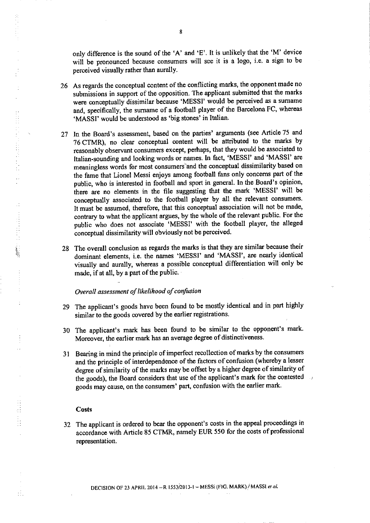only difference is the sound of the 'A' and 'E'. It is unlikely that the 'M' device will be pronounced because consumers will see it is a logo, i.e. a sign to be perceived visually rather than aurally.

- 26 As regards the conceptual content of the conflicting marks, the opponent made no submissions in support of the opposition. The applicant submitted that the marks were conceptually dissimilar because 'MESSI' would be perceived as a sumame and, specifically, the surname of a football player of the Barcelona FC, whereas 'MASSI' would be understood as 'big stones' in Italian.
- 27 In the Board's assessment, based on the parties' arguments (see Article 75 and 76 CTMR), no clear conceptual content will be attributed to the marks by reasonably observant consumers except, perhaps, that they would be associated to Italian-sounding and looking words or names. In fact, 'MESSI' and 'MASSI' are meaningless words for most consumers and the conceptual dissimilarity based on the fame that Lionel Messi enjoys among football fans only concerns part of the public, who is interested in football and sport in general. In the Board's opinion, there are no elements in the file suggesting that the mark 'MESSI' will be conceptually associated to the football player by all the relevant consumers. It must be assumed, therefore, that this conceptual association will not be made, contrary to what the applicant argues, by the whole of the relevant public. For the public who does not associate 'MESSI' with the football player, the alleged conceptual dissimilarity will obviously not be perceived.
- 28 The overall conclusion as regards the marks is that they are similar because their dominant elements, i.e. the names 'MESSI' and 'MASSI', are nearly identical visually and aurally, whereas a possible conceptual differentiation will only be made, if at all, by a part of the public.

## Overall assessment of likelihood of confusion

- 29 The applicant's goods have been found to be mostly identical and in part highly similar to the goods covered by the earlier registrations.
- 30 The applicant's mark has been found to be similar to the opponent's mark. Moreover, the earlier mark has an average degree of distinctiveness.
- 31 Bearing in mind the principle of imperfect recollection of marks by the consumers and the principle of interdependence of the factors of confusion (whereby a lesser degree of similarity of the marks may be offset by a higher degree of similarity of the goods), the Board considers that use of the applicant's mark for the contested goods may cause, on the consumers' part, confusion with the earlier mark.

#### Costs

÷,

 $\frac{1}{4}$ 

 $\hat{\mathcal{E}}$ 

 $\mathcal{A}$ 

Hillian Card

÷,

 $\mathcal{L}_{\mathcal{L}}$ 

32 The applicant is ordered to bear the opponent's costs in the appeal proceedings in accordance with Article 85 CTMR, namely EUR 550 for the costs of professional representation.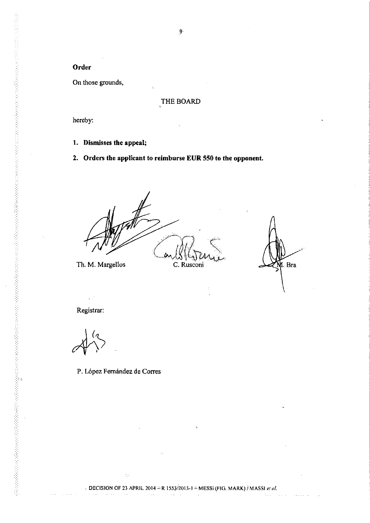Order

On those grounds,

# THE BOARD

hereby:

1. Dismisses the appeal;

2. Orders the applicant to reimburse EUR 550 to the opponent.

l.

Th. M. Margellos

C. Rusconi

l. Bra

 $\hat{\mathcal{A}}$ 

 $\sim 100$ 

 $\Delta$  and  $\Delta$ 

 $\sim 1.1$  .

Registrar:

 $\epsilon^{(n)}$ 

 $\epsilon \rightarrow \pm$ 

P. López Fernández de Corres

ò,

9

 $\alpha$  and  $\alpha$  .